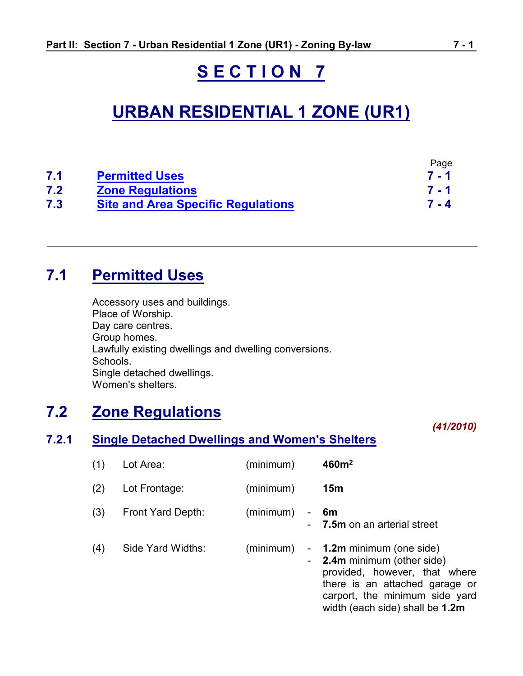# **S E C T I O N 7**

# **URBAN RESIDENTIAL 1 ZONE (UR1)**

|     |                                           | Page    |
|-----|-------------------------------------------|---------|
| 7.1 | <b>Permitted Uses</b>                     | $7 - 1$ |
| 7.2 | <b>Zone Regulations</b>                   | $7 - 1$ |
| 7.3 | <b>Site and Area Specific Regulations</b> | $7 - 4$ |

# <span id="page-0-0"></span>**7.1 Permitted Uses**

Accessory uses and buildings. Place of Worship. Day care centres. Group homes. Lawfully existing dwellings and dwelling conversions. Schools. Single detached dwellings. Women's shelters.

# <span id="page-0-1"></span>**7.2 Zone Regulations**

**7.2.1 Single Detached Dwellings and Women's Shelters**

| (1) | Lot Area:         | (minimum)       | 460m <sup>2</sup>                                                                                                                                                                                     |
|-----|-------------------|-----------------|-------------------------------------------------------------------------------------------------------------------------------------------------------------------------------------------------------|
| (2) | Lot Frontage:     | (minimum)       | 15m                                                                                                                                                                                                   |
| (3) | Front Yard Depth: | (minimum)<br>۰. | 6m<br><b>7.5m</b> on an arterial street                                                                                                                                                               |
| (4) | Side Yard Widths: | (minimum)       | - 1.2m minimum (one side)<br><b>2.4m</b> minimum (other side)<br>provided, however, that where<br>there is an attached garage or<br>carport, the minimum side yard<br>width (each side) shall be 1.2m |

*(41/2010)*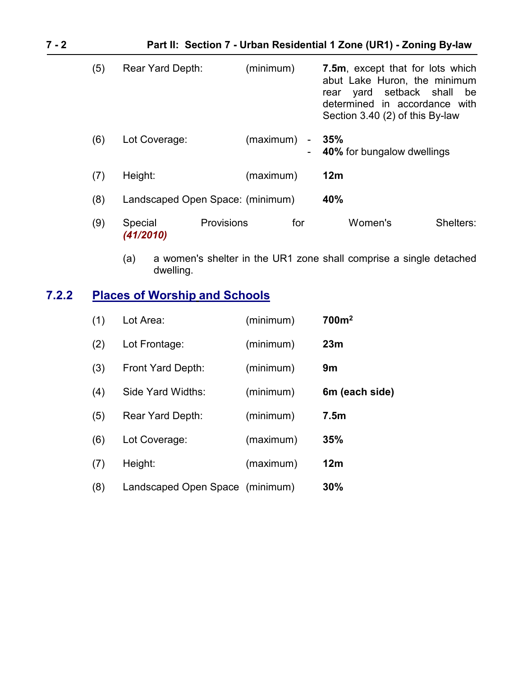| $7 - 2$ | Part II: Section 7 - Urban Residential 1 Zone (UR1) - Zoning By-law |                                  |            |           |                |                                                                                                                                                      |                     |
|---------|---------------------------------------------------------------------|----------------------------------|------------|-----------|----------------|------------------------------------------------------------------------------------------------------------------------------------------------------|---------------------|
|         | (5)                                                                 | Rear Yard Depth:                 |            | (minimum) |                | 7.5m, except that for lots which<br>abut Lake Huron, the minimum<br>yard<br>rear<br>determined in accordance with<br>Section 3.40 (2) of this By-law | setback shall<br>be |
|         | (6)                                                                 | Lot Coverage:                    |            | (maximum) | $\blacksquare$ | 35%<br><b>40%</b> for bungalow dwellings                                                                                                             |                     |
|         | (7)                                                                 | Height:                          |            | (maximum) |                | 12m                                                                                                                                                  |                     |
|         | (8)                                                                 | Landscaped Open Space: (minimum) |            |           |                | 40%                                                                                                                                                  |                     |
|         | (9)                                                                 | Special<br>(41/2010)             | Provisions |           | for            | Women's                                                                                                                                              | Shelters:           |

(a) a women's shelter in the UR1 zone shall comprise a single detached dwelling.

# <span id="page-1-0"></span>**7.2.2 Places of Worship and Schools**

| (1) | Lot Area:                       | (minimum) | 700m <sup>2</sup> |
|-----|---------------------------------|-----------|-------------------|
| (2) | Lot Frontage:                   | (minimum) | 23m               |
| (3) | Front Yard Depth:               | (minimum) | 9m                |
| (4) | Side Yard Widths:               | (minimum) | 6m (each side)    |
| (5) | <b>Rear Yard Depth:</b>         | (minimum) | 7.5 <sub>m</sub>  |
| (6) | Lot Coverage:                   | (maximum) | 35%               |
| (7) | Height:                         | (maximum) | 12m               |
| (8) | Landscaped Open Space (minimum) |           | 30%               |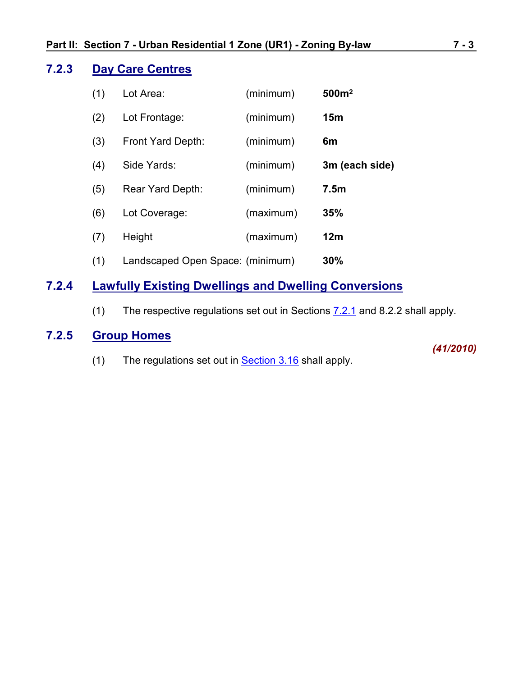#### **7.2.3 Day Care Centres**

| (1) | Lot Area:                        | (minimum) | 500m <sup>2</sup> |
|-----|----------------------------------|-----------|-------------------|
| (2) | Lot Frontage:                    | (minimum) | 15 <sub>m</sub>   |
| (3) | Front Yard Depth:                | (minimum) | 6m                |
| (4) | Side Yards:                      | (minimum) | 3m (each side)    |
| (5) | <b>Rear Yard Depth:</b>          | (minimum) | 7.5 <sub>m</sub>  |
| (6) | Lot Coverage:                    | (maximum) | 35%               |
| (7) | Height                           | (maximum) | 12m               |
| (1) | Landscaped Open Space: (minimum) |           | 30%               |

## **7.2.4 Lawfully Existing Dwellings and Dwelling Conversions**

(1) The respective regulations set out in Sections  $7.2.1$  and 8.2.2 shall apply.

## **7.2.5 Group Homes**

(1) The regulations set out in [Section 3.16](ZB_Sec_03_General_Regulations.doc) shall apply.

*(41/2010)*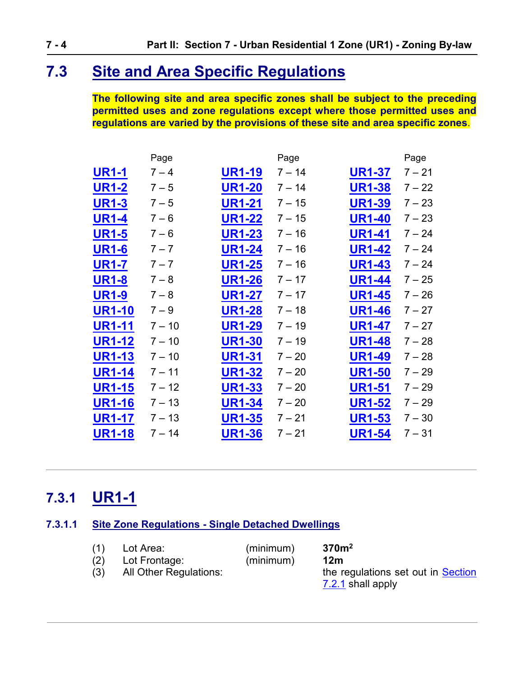# <span id="page-3-0"></span>**7.3 Site and Area Specific Regulations**

**The following site and area specific zones shall be subject to the preceding permitted uses and zone regulations except where those permitted uses and regulations are varied by the provisions of these site and area specific zones**.

|               | Page     |               | Page     |               | Page     |
|---------------|----------|---------------|----------|---------------|----------|
| UR1-1         | $7 - 4$  | <b>UR1-19</b> | $7 - 14$ | <b>UR1-37</b> | $7 - 21$ |
| <b>UR1-2</b>  | $7 - 5$  | <b>UR1-20</b> | $7 - 14$ | <b>UR1-38</b> | $7 - 22$ |
| UR1-3         | $7 - 5$  | <b>UR1-21</b> | $7 - 15$ | <b>UR1-39</b> | $7 - 23$ |
| <b>UR1-4</b>  | $7 - 6$  | <b>UR1-22</b> | $7 - 15$ | <b>UR1-40</b> | $7 - 23$ |
| <b>UR1-5</b>  | $7 - 6$  | <b>UR1-23</b> | $7 - 16$ | <b>UR1-41</b> | $7 - 24$ |
| <b>UR1-6</b>  | $7 - 7$  | <b>UR1-24</b> | $7 - 16$ | <b>UR1-42</b> | $7 - 24$ |
| <b>UR1-7</b>  | $7 - 7$  | <b>UR1-25</b> | $7 - 16$ | <b>UR1-43</b> | $7 - 24$ |
| <b>UR1-8</b>  | $7 - 8$  | <b>UR1-26</b> | $7 - 17$ | <b>UR1-44</b> | $7 - 25$ |
| <b>UR1-9</b>  | $7 - 8$  | <b>UR1-27</b> | $7 - 17$ | <b>UR1-45</b> | $7 - 26$ |
| <b>UR1-10</b> | $7 - 9$  | <b>UR1-28</b> | $7 - 18$ | <b>UR1-46</b> | $7 - 27$ |
| <b>UR1-11</b> | $7 - 10$ | <b>UR1-29</b> | $7 - 19$ | <b>UR1-47</b> | $7 - 27$ |
| <b>UR1-12</b> | $7 - 10$ | <b>UR1-30</b> | $7 - 19$ | <b>UR1-48</b> | $7 - 28$ |
| <b>UR1-13</b> | $7 - 10$ | <b>UR1-31</b> | $7 - 20$ | <b>UR1-49</b> | $7 - 28$ |
| UR1-14        | $7 - 11$ | <b>UR1-32</b> | $7 - 20$ | <b>UR1-50</b> | 7 – 29   |
| <b>UR1-15</b> | $7 - 12$ | <b>UR1-33</b> | $7 - 20$ | <b>UR1-51</b> | $7 - 29$ |
| <b>UR1-16</b> | $7 - 13$ | <b>UR1-34</b> | $7 - 20$ | <b>UR1-52</b> | 7 – 29   |
| <b>UR1-17</b> | $7 - 13$ | <b>UR1-35</b> | $7 - 21$ | <b>UR1-53</b> | $7 - 30$ |
| <b>UR1-18</b> | $7 - 14$ | <b>UR1-36</b> | $7 - 21$ | <b>UR1-54</b> | $7 - 31$ |

# <span id="page-3-1"></span>**7.3.1 UR1-1**

### **7.3.1.1 Site Zone Regulations - Single Detached Dwellings**

<span id="page-3-3"></span><span id="page-3-2"></span>

| (1) | Lot Area:                     | (minimum) | 370m <sup>2</sup>                  |
|-----|-------------------------------|-----------|------------------------------------|
| (2) | Lot Frontage:                 | (minimum) | 12m                                |
|     | <b>All Other Regulations:</b> |           | the regulations set out in Section |
|     |                               |           | 7.2.1 shall apply                  |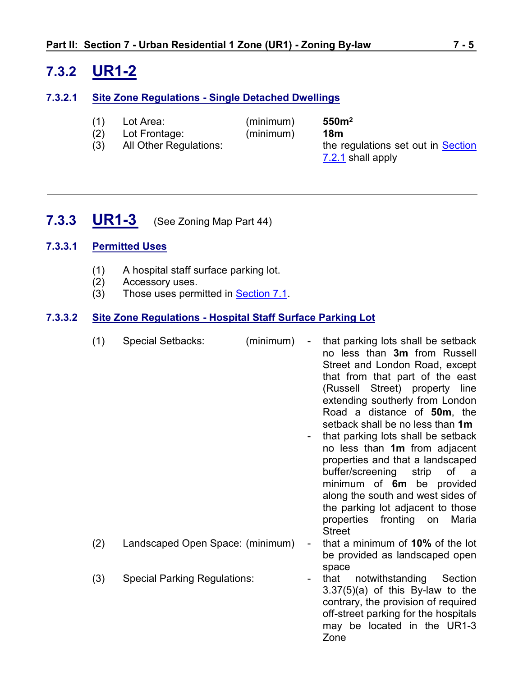# <span id="page-4-0"></span>**7.3.2 UR1-2**

#### **7.3.2.1 Site Zone Regulations - Single Detached Dwellings**

- (1) Lot Area: (minimum) **550m<sup>2</sup>**
- (2) Lot Frontage: (minimum) **18m**
- (3) All Other Regulations: the regulations set out in Section [7.2.1](#page-0-1) shall apply
- 
- <span id="page-4-1"></span>**7.3.3 UR1-3** (See Zoning Map Part 44)

#### **7.3.3.1 Permitted Uses**

- (1) A hospital staff surface parking lot.
- (2) Accessory uses.
- (3) Those uses permitted in [Section 7.1](#page-0-0).

#### **7.3.3.2 Site Zone Regulations - Hospital Staff Surface Parking Lot**

(1) Special Setbacks: (minimum) - that parking lots shall be setback no less than **3m** from Russell Street and London Road, except that from that part of the east (Russell Street) property line extending southerly from London Road a distance of **50m**, the setback shall be no less than **1m** that parking lots shall be setback no less than **1m** from adjacent properties and that a landscaped buffer/screening strip of a minimum of **6m** be provided along the south and west sides of the parking lot adjacent to those properties fronting on Maria **Street** (2) Landscaped Open Space: (minimum) - that a minimum of **10%** of the lot be provided as landscaped open space (3) Special Parking Regulations: That notwithstanding Section 3.37(5)(a) of this By-law to the contrary, the provision of required off-street parking for the hospitals may be located in the UR1-3 Zone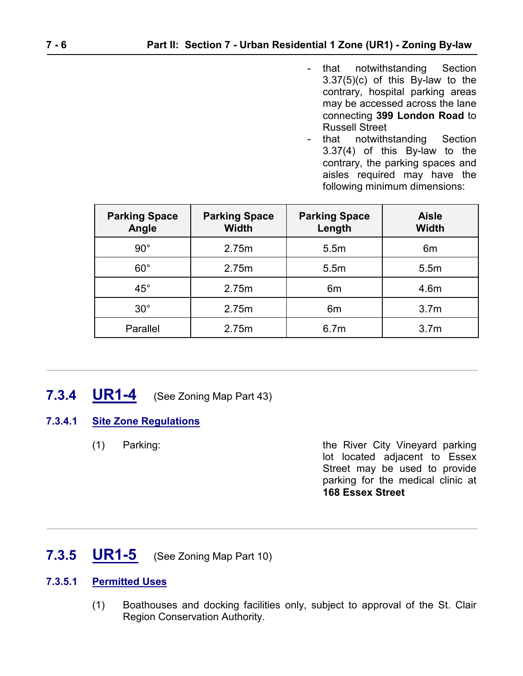- that notwithstanding Section 3.37(5)(c) of this By-law to the contrary, hospital parking areas may be accessed across the lane connecting **399 London Road** to Russell Street
- that notwithstanding Section 3.37(4) of this By-law to the contrary, the parking spaces and aisles required may have the following minimum dimensions:

| <b>Parking Space</b><br>Angle | <b>Parking Space</b><br><b>Width</b> | <b>Parking Space</b><br>Length | <b>Aisle</b><br><b>Width</b> |
|-------------------------------|--------------------------------------|--------------------------------|------------------------------|
| $90^{\circ}$                  | 2.75m                                | 5.5m                           | 6m                           |
| $60^{\circ}$                  | 2.75m                                | 5.5m                           | 5.5m                         |
| $45^{\circ}$                  | 2.75m                                | 6 <sub>m</sub>                 | 4.6m                         |
| $30^{\circ}$                  | 2.75m                                | 6 <sub>m</sub>                 | 3.7 <sub>m</sub>             |
| Parallel                      | 2.75m                                | 6.7 <sub>m</sub>               | 3.7 <sub>m</sub>             |

# <span id="page-5-0"></span>**7.3.4 UR1-4** (See Zoning Map Part 43)

### **7.3.4.1 Site Zone Regulations**

(1) Parking: the River City Vineyard parking lot located adjacent to Essex Street may be used to provide parking for the medical clinic at **168 Essex Street**

# <span id="page-5-1"></span>**7.3.5 UR1-5** (See Zoning Map Part 10)

#### **7.3.5.1 Permitted Uses**

(1) Boathouses and docking facilities only, subject to approval of the St. Clair Region Conservation Authority.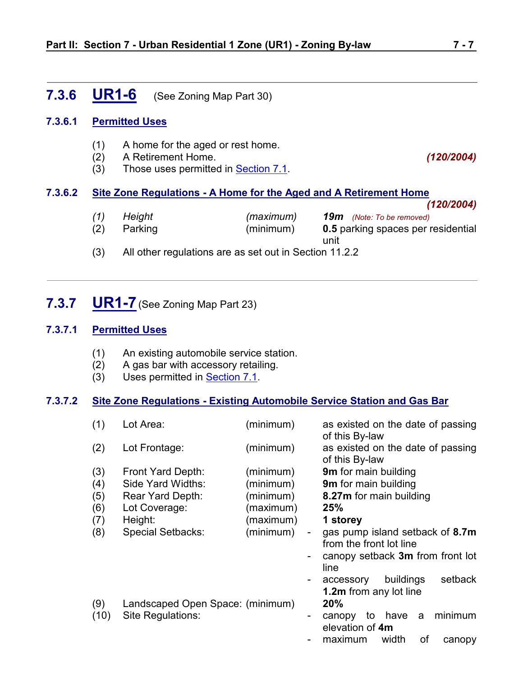## <span id="page-6-0"></span>**7.3.6 UR1-6** (See Zoning Map Part 30)

#### **7.3.6.1 Permitted Uses**

- (1) A home for the aged or rest home.
- (2) A Retirement Home. *(120/2004)*
- (3) Those uses permitted in [Section 7.1](#page-0-0).

#### **7.3.6.2 Site Zone Regulations - A Home for the Aged and A Retirement Home**

- *(120/2004) (1) Height (maximum) 19m (Note: To be removed)* (2) Parking (minimum) **0.5** parking spaces per residential unit
- <span id="page-6-1"></span>(3) All other regulations are as set out in Section 11.2.2

## **7.3.7 UR1-7**(See Zoning Map Part 23)

#### **7.3.7.1 Permitted Uses**

- (1) An existing automobile service station.
- (2) A gas bar with accessory retailing.
- (3) Uses permitted in [Section 7.1](#page-0-0).

#### **7.3.7.2 Site Zone Regulations - Existing Automobile Service Station and Gas Bar**

| (1)  | Lot Area:                        | (minimum) |                          | as existed on the date of passing<br>of this By-law        |
|------|----------------------------------|-----------|--------------------------|------------------------------------------------------------|
| (2)  | Lot Frontage:                    | (minimum) |                          | as existed on the date of passing<br>of this By-law        |
| (3)  | Front Yard Depth:                | (minimum) |                          | <b>9m</b> for main building                                |
| (4)  | Side Yard Widths:                | (minimum) |                          | 9m for main building                                       |
| (5)  | Rear Yard Depth:                 | (minimum) |                          | 8.27m for main building                                    |
| (6)  | Lot Coverage:                    | (maximum) |                          | 25%                                                        |
| (7)  | Height:                          | (maximum) |                          | 1 storey                                                   |
| (8)  | <b>Special Setbacks:</b>         | (minimum) | $\overline{\phantom{a}}$ | gas pump island setback of 8.7m<br>from the front lot line |
|      |                                  |           |                          | canopy setback 3m from front lot<br>line                   |
|      |                                  |           |                          | buildings<br>setback<br>accessory                          |
|      |                                  |           |                          | <b>1.2m</b> from any lot line                              |
| (9)  | Landscaped Open Space: (minimum) |           |                          | 20%                                                        |
| (10) | Site Regulations:                |           | $\blacksquare$           | minimum<br>have<br>to<br>a<br>canopy<br>elevation of 4m    |
|      |                                  |           |                          | width<br>of<br>maximum<br>canopy                           |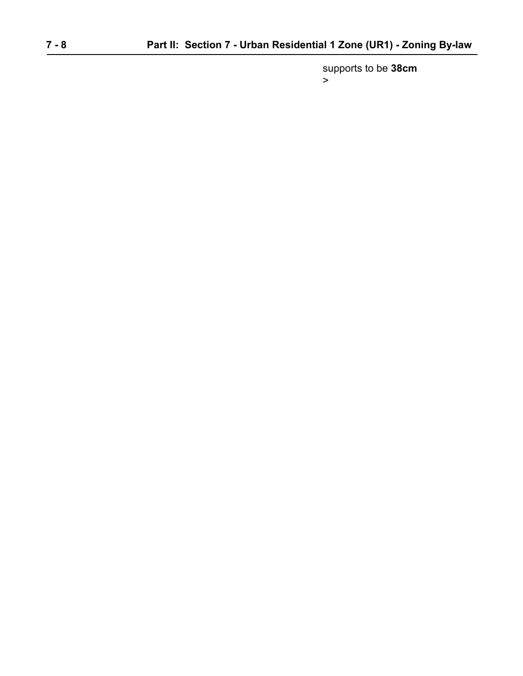supports to be **38cm** >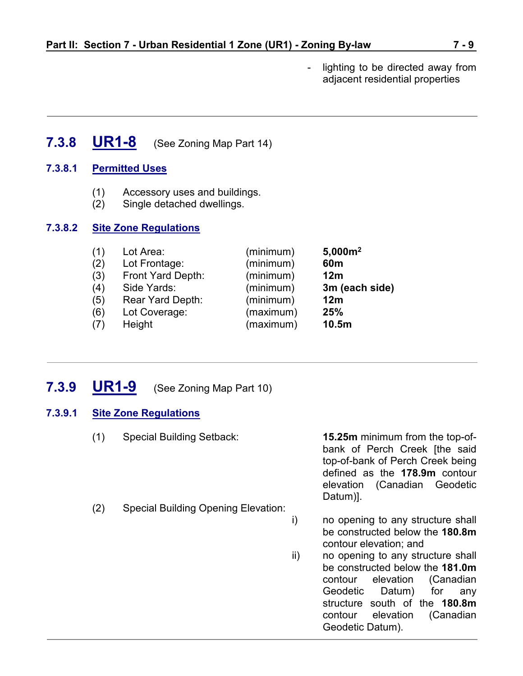- lighting to be directed away from adjacent residential properties

<span id="page-8-0"></span>**7.3.8 UR1-8** (See Zoning Map Part 14)

#### **7.3.8.1 Permitted Uses**

- (1) Accessory uses and buildings.
- (2) Single detached dwellings.

#### **7.3.8.2 Site Zone Regulations**

| (1) | Lot Area:               | (minimum) | 5,000m <sup>2</sup> |
|-----|-------------------------|-----------|---------------------|
| (2) | Lot Frontage:           | (minimum) | 60 <sub>m</sub>     |
| (3) | Front Yard Depth:       | (minimum) | 12 <sub>m</sub>     |
| (4) | Side Yards:             | (minimum) | 3m (each side)      |
| (5) | <b>Rear Yard Depth:</b> | (minimum) | 12m                 |
| (6) | Lot Coverage:           | (maximum) | 25%                 |
| (7) | Height                  | (maximum) | 10.5m               |
|     |                         |           |                     |

## <span id="page-8-1"></span>**7.3.9 UR1-9** (See Zoning Map Part 10)

#### **7.3.9.1 Site Zone Regulations**

- (1) Special Building Setback: **15.25m** minimum from the top-ofbank of Perch Creek [the said top-of-bank of Perch Creek being defined as the **178.9m** contour elevation (Canadian Geodetic Datum)]. (2) Special Building Opening Elevation:
	- i) no opening to any structure shall be constructed below the **180.8m** contour elevation; and
	- ii) no opening to any structure shall be constructed below the **181.0m** contour elevation (Canadian Geodetic Datum) for any structure south of the **180.8m** contour elevation (Canadian Geodetic Datum).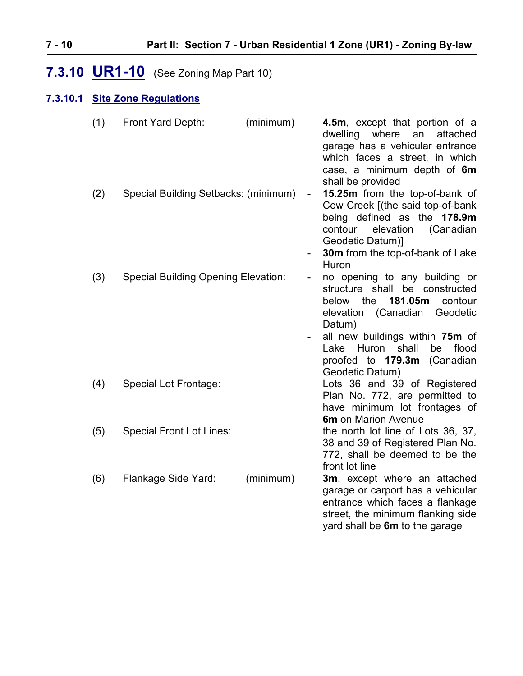# <span id="page-9-0"></span>**7.3.10 UR1-10** (See Zoning Map Part 10)

### **7.3.10.1 Site Zone Regulations**

| (1) | Front Yard Depth:                          | (minimum) | 4.5m, except that portion of a<br>dwelling<br>where<br>an<br>attached<br>garage has a vehicular entrance<br>which faces a street, in which<br>case, a minimum depth of 6m<br>shall be provided                                                                |
|-----|--------------------------------------------|-----------|---------------------------------------------------------------------------------------------------------------------------------------------------------------------------------------------------------------------------------------------------------------|
| (2) | Special Building Setbacks: (minimum)       |           | 15.25m from the top-of-bank of<br>$\overline{\phantom{a}}$<br>Cow Creek [(the said top-of-bank<br>being defined as the 178.9m<br>elevation<br>(Canadian<br>contour<br>Geodetic Datum)]<br><b>30m</b> from the top-of-bank of Lake<br>Huron                    |
| (3) | <b>Special Building Opening Elevation:</b> |           | no opening to any building or<br>structure shall<br>be constructed<br>181.05m<br>the<br>below<br>contour<br>(Canadian<br>Geodetic<br>elevation<br>Datum)<br>all new buildings within 75m of<br>Lake Huron shall<br>flood<br>be<br>proofed to 179.3m (Canadian |
| (4) | Special Lot Frontage:                      |           | Geodetic Datum)<br>Lots 36 and 39 of Registered<br>Plan No. 772, are permitted to<br>have minimum lot frontages of<br><b>6m</b> on Marion Avenue                                                                                                              |
| (5) | <b>Special Front Lot Lines:</b>            |           | the north lot line of Lots 36, 37,<br>38 and 39 of Registered Plan No.<br>772, shall be deemed to be the<br>front lot line                                                                                                                                    |
| (6) | Flankage Side Yard:                        | (minimum) | 3m, except where an attached<br>garage or carport has a vehicular<br>entrance which faces a flankage<br>street, the minimum flanking side<br>yard shall be 6m to the garage                                                                                   |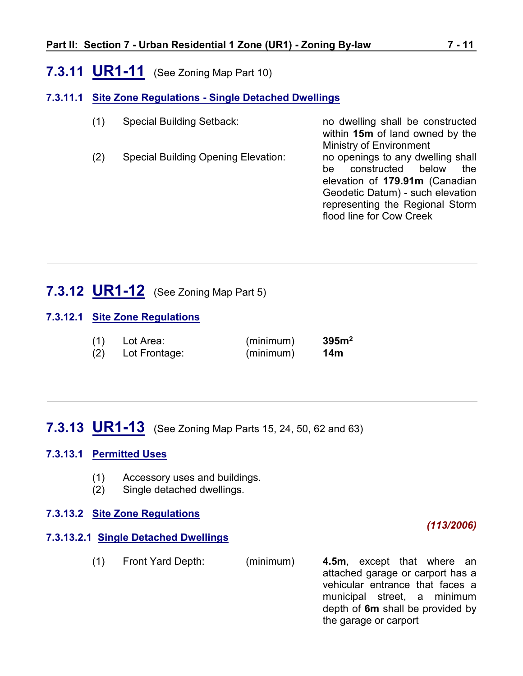# <span id="page-10-0"></span>**7.3.11 UR1-11** (See Zoning Map Part 10)

#### **7.3.11.1 Site Zone Regulations - Single Detached Dwellings**

(1) Special Building Setback: no dwelling shall be constructed within **15m** of land owned by the Ministry of Environment (2) Special Building Opening Elevation: no openings to any dwelling shall be constructed below the elevation of **179.91m** (Canadian Geodetic Datum) - such elevation representing the Regional Storm flood line for Cow Creek

# <span id="page-10-1"></span>**7.3.12 UR1-12** (See Zoning Map Part 5)

#### **7.3.12.1 Site Zone Regulations**

| (1) | Lot Area:     | (minimum) | 395m <sup>2</sup> |
|-----|---------------|-----------|-------------------|
| (2) | Lot Frontage: | (minimum) | 14 <sub>m</sub>   |

# <span id="page-10-2"></span>**7.3.13 UR1-13** (See Zoning Map Parts 15, 24, 50, 62 and 63)

#### **7.3.13.1 Permitted Uses**

- (1) Accessory uses and buildings.
- (2) Single detached dwellings.

#### **7.3.13.2 Site Zone Regulations**

#### **7.3.13.2.1 Single Detached Dwellings**

(1) Front Yard Depth: (minimum) **4.5m**, except that where an attached garage or carport has a vehicular entrance that faces a municipal street, a minimum

*(113/2006)*

depth of **6m** shall be provided by

the garage or carport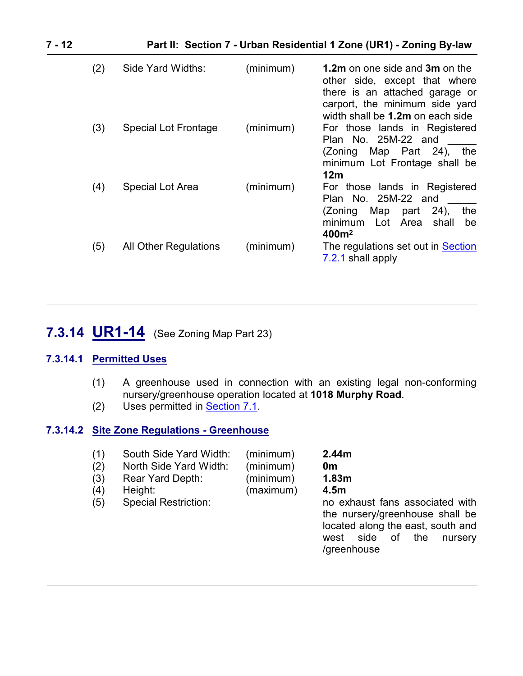| (2) | Side Yard Widths:           | (minimum) | <b>1.2m</b> on one side and <b>3m</b> on the<br>other side, except that where<br>there is an attached garage or<br>carport, the minimum side yard<br>width shall be 1.2m on each side |
|-----|-----------------------------|-----------|---------------------------------------------------------------------------------------------------------------------------------------------------------------------------------------|
| (3) | <b>Special Lot Frontage</b> | (minimum) | For those lands in Registered<br>Plan No. 25M-22 and<br>(Zoning Map Part 24),<br>the<br>minimum Lot Frontage shall be<br>12 <sub>m</sub>                                              |
| (4) | <b>Special Lot Area</b>     | (minimum) | For those lands in Registered<br>Plan No. 25M-22 and<br>$(24)$ ,<br>the<br>Мар<br>(Zoning<br>part<br>Lot Area<br>shall<br>be<br>minimum<br>400m <sup>2</sup>                          |
| (5) | All Other Regulations       | (minimum) | The regulations set out in Section<br>7.2.1 shall apply                                                                                                                               |

# <span id="page-11-0"></span>**7.3.14 UR1-14** (See Zoning Map Part 23)

#### **7.3.14.1 Permitted Uses**

- (1) A greenhouse used in connection with an existing legal non-conforming nursery/greenhouse operation located at **1018 Murphy Road**.
- (2) Uses permitted in **Section 7.1**.

#### **7.3.14.2 Site Zone Regulations - Greenhouse**

| (1)<br>(2)<br>(3)<br>(4)<br>(5) | South Side Yard Width:<br>North Side Yard Width:<br>Rear Yard Depth:<br>Height:<br><b>Special Restriction:</b> | (minimum)<br>(minimum)<br>(minimum)<br>(maximum) | 2.44m<br>0 <sub>m</sub><br>1.83m<br>4.5m<br>no exhaust fans associated with<br>the nursery/greenhouse shall be<br>located along the east, south and<br>side of<br>the<br>west<br>nursery<br>/greenhouse |
|---------------------------------|----------------------------------------------------------------------------------------------------------------|--------------------------------------------------|---------------------------------------------------------------------------------------------------------------------------------------------------------------------------------------------------------|
|                                 |                                                                                                                |                                                  |                                                                                                                                                                                                         |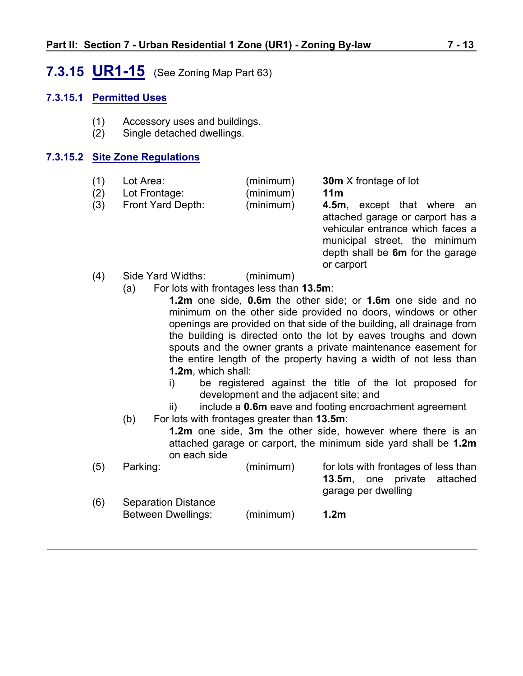# <span id="page-12-0"></span>**7.3.15 UR1-15** (See Zoning Map Part 63)

#### **7.3.15.1 Permitted Uses**

- (1) Accessory uses and buildings.
- (2) Single detached dwellings.

#### **7.3.15.2 Site Zone Regulations**

| (1) | Lot Area:     | (minimum) | <b>30m</b> X frontage of lot |
|-----|---------------|-----------|------------------------------|
| (2) | Tot Frontage: | (minimum) | 11m                          |

(2) Lot Frontage: (minimum) **11m** (3) Front Yard Depth: (minimum) **4.5m**, except that where an

attached garage or carport has a vehicular entrance which faces a municipal street, the minimum depth shall be **6m** for the garage or carport

- (4) Side Yard Widths: (minimum)
	- (a) For lots with frontages less than **13.5m**:
		- **1.2m** one side, **0.6m** the other side; or **1.6m** one side and no minimum on the other side provided no doors, windows or other openings are provided on that side of the building, all drainage from the building is directed onto the lot by eaves troughs and down spouts and the owner grants a private maintenance easement for the entire length of the property having a width of not less than **1.2m**, which shall:
		- i) be registered against the title of the lot proposed for development and the adjacent site; and
		- ii) include a **0.6m** eave and footing encroachment agreement
	- (b) For lots with frontages greater than **13.5m**:
		- **1.2m** one side, **3m** the other side, however where there is an attached garage or carport, the minimum side yard shall be **1.2m** on each side

| (5) | Parking:                   | (minimum) | for lots with frontages of less than |
|-----|----------------------------|-----------|--------------------------------------|
|     |                            |           | <b>13.5m,</b> one private attached   |
|     |                            |           | garage per dwelling                  |
| (6) | <b>Separation Distance</b> |           |                                      |
|     | Between Dwellings:         | (minimum) | 1.2 <sub>m</sub>                     |
|     |                            |           |                                      |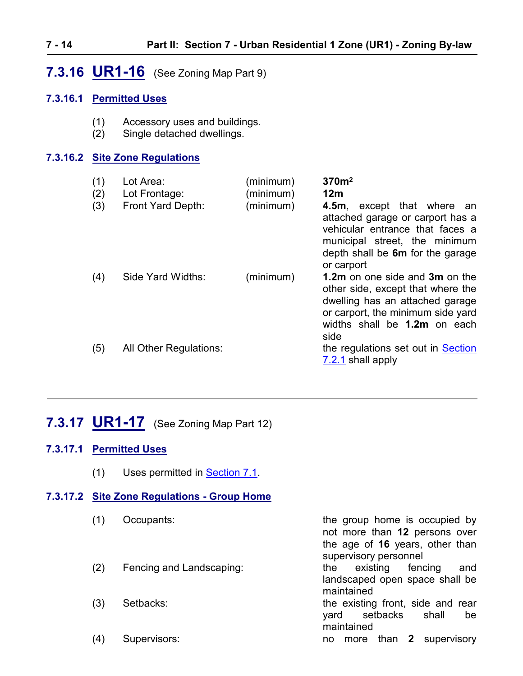# <span id="page-13-0"></span>**7.3.16 UR1-16** (See Zoning Map Part 9)

#### **7.3.16.1 Permitted Uses**

- (1) Accessory uses and buildings.
- (2) Single detached dwellings.

#### **7.3.16.2 Site Zone Regulations**

| (1)<br>(2)<br>(3) | Lot Area:<br>Lot Frontage:<br>Front Yard Depth: | (minimum)<br>(minimum)<br>(minimum) | 370 <sup>m²</sup><br>12m<br>4.5m, except that where an<br>attached garage or carport has a<br>vehicular entrance that faces a<br>municipal street, the minimum<br>depth shall be 6m for the garage<br>or carport |
|-------------------|-------------------------------------------------|-------------------------------------|------------------------------------------------------------------------------------------------------------------------------------------------------------------------------------------------------------------|
| (4)               | Side Yard Widths:                               | (minimum)                           | <b>1.2m</b> on one side and <b>3m</b> on the<br>other side, except that where the<br>dwelling has an attached garage<br>or carport, the minimum side yard<br>widths shall be 1.2m on each<br>side                |
| (5)               | <b>All Other Regulations:</b>                   |                                     | the regulations set out in Section<br>7.2.1 shall apply                                                                                                                                                          |

# <span id="page-13-1"></span>**7.3.17 UR1-17** (See Zoning Map Part 12)

### **7.3.17.1 Permitted Uses**

(1) Uses permitted in [Section 7.1](#page-0-0).

#### **7.3.17.2 Site Zone Regulations - Group Home**

- 
- 
- 
- 

(1) Occupants: the group home is occupied by not more than **12** persons over the age of **16** years, other than supervisory personnel (2) Fencing and Landscaping: the existing fencing and landscaped open space shall be maintained

- (3) Setbacks: the existing front, side and rear yard setbacks shall be maintained
- (4) Supervisors: no more than **2** supervisory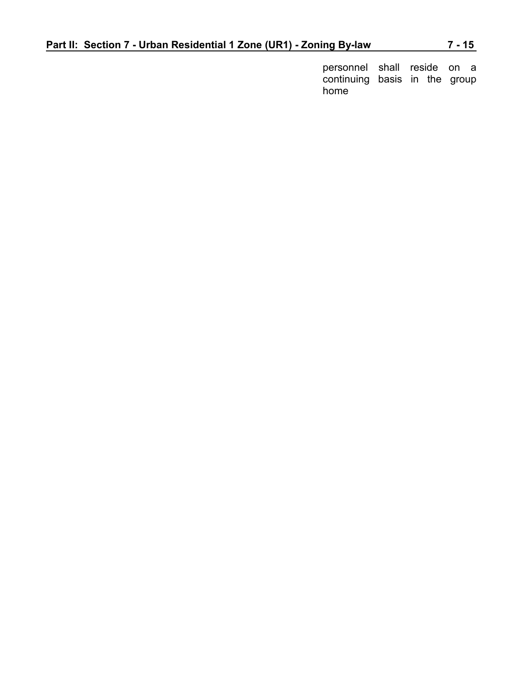personnel shall reside on a continuing basis in the group home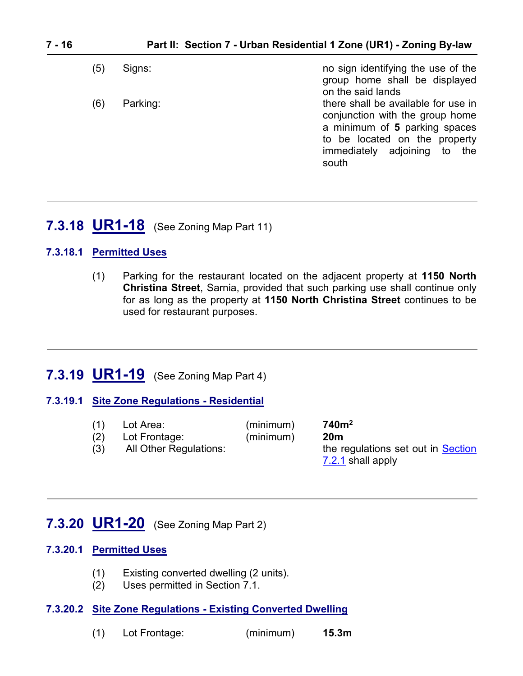| (5) | Signs:   | no sign identifying the use of the<br>group home shall be displayed<br>on the said lands                                                                                          |
|-----|----------|-----------------------------------------------------------------------------------------------------------------------------------------------------------------------------------|
| (6) | Parking: | there shall be available for use in<br>conjunction with the group home<br>a minimum of 5 parking spaces<br>to be located on the property<br>immediately adjoining to the<br>south |

## <span id="page-15-2"></span>**7.3.18 UR1-18** (See Zoning Map Part 11)

#### **7.3.18.1 Permitted Uses**

(1) Parking for the restaurant located on the adjacent property at **1150 North Christina Street**, Sarnia, provided that such parking use shall continue only for as long as the property at **1150 North Christina Street** continues to be used for restaurant purposes.

## <span id="page-15-0"></span>**7.3.19 UR1-19** (See Zoning Map Part 4)

#### **7.3.19.1 Site Zone Regulations - Residential**

(1) Lot Area: (minimum) **740m<sup>2</sup>** 740m<sup>2</sup> (2) Lot Frontage: (minimum) **20m** (3) All Other Regulations: the regulations set out in Section [7.2.1](#page-0-1) shall apply

# <span id="page-15-1"></span>**7.3.20 UR1-20** (See Zoning Map Part 2)

#### **7.3.20.1 Permitted Uses**

- (1) Existing converted dwelling (2 units).
- (2) Uses permitted in Section 7.1.

#### **7.3.20.2 Site Zone Regulations - Existing Converted Dwelling**

(1) Lot Frontage: (minimum) **15.3m**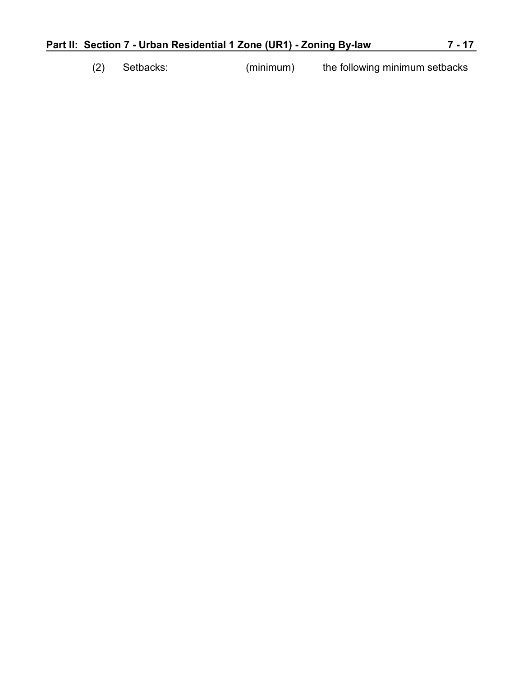|  | Setbacks: | (minimum) | the following minimum setbacks |
|--|-----------|-----------|--------------------------------|
|  |           |           |                                |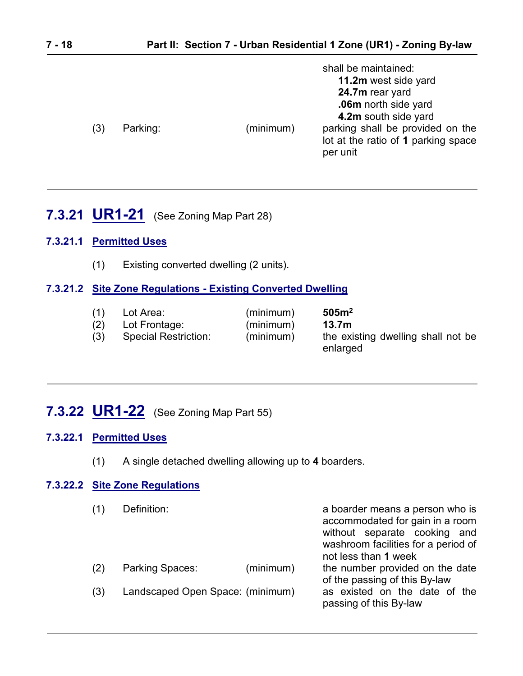| (3) | Parking: | shall be maintained:<br>11.2m west side yard<br>24.7m rear yard<br>.06m north side yard<br>4.2m south side yard<br>parking shall be provided on the<br>(minimum)<br>lot at the ratio of 1 parking space<br>per unit |
|-----|----------|---------------------------------------------------------------------------------------------------------------------------------------------------------------------------------------------------------------------|
|     |          |                                                                                                                                                                                                                     |

# <span id="page-17-0"></span>**7.3.21 UR1-21** (See Zoning Map Part 28)

### **7.3.21.1 Permitted Uses**

(1) Existing converted dwelling (2 units).

### **7.3.21.2 Site Zone Regulations - Existing Converted Dwelling**

| (1) | Lot Area:                   | (minimum) | 505 <sup>2</sup>                               |
|-----|-----------------------------|-----------|------------------------------------------------|
| (2) | Lot Frontage:               | (minimum) | 13.7 <sub>m</sub>                              |
| (3) | <b>Special Restriction:</b> | (minimum) | the existing dwelling shall not be<br>enlarged |

# <span id="page-17-1"></span>**7.3.22 UR1-22** (See Zoning Map Part 55)

#### **7.3.22.1 Permitted Uses**

(1) A single detached dwelling allowing up to **4** boarders.

### **7.3.22.2 Site Zone Regulations**

|     | Definition:                      |           | a boarder means a person who is<br>accommodated for gain in a room<br>without separate cooking and<br>washroom facilities for a period of<br>not less than 1 week |
|-----|----------------------------------|-----------|-------------------------------------------------------------------------------------------------------------------------------------------------------------------|
| (2) | <b>Parking Spaces:</b>           | (minimum) | the number provided on the date<br>of the passing of this By-law                                                                                                  |
| (3) | Landscaped Open Space: (minimum) |           | as existed on the date of the<br>passing of this By-law                                                                                                           |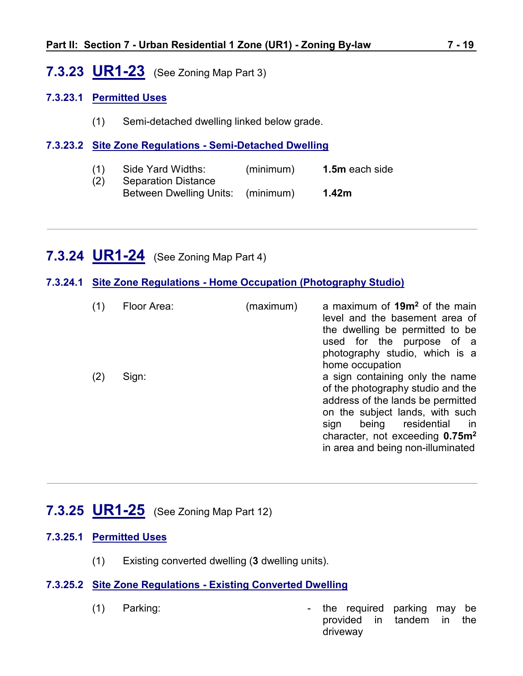# <span id="page-18-0"></span>**7.3.23 UR1-23** (See Zoning Map Part 3)

#### **7.3.23.1 Permitted Uses**

(1) Semi-detached dwelling linked below grade.

#### **7.3.23.2 Site Zone Regulations - Semi-Detached Dwelling**

(1) Side Yard Widths: (minimum) **1.5m** each side (2) Separation Distance Between Dwelling Units: (minimum) **1.42m**

## <span id="page-18-1"></span>**7.3.24 UR1-24** (See Zoning Map Part 4)

**7.3.24.1 Site Zone Regulations - Home Occupation (Photography Studio)**

|     | Floor Area: | (maximum) | a maximum of 19m <sup>2</sup> of the main<br>level and the basement area of<br>the dwelling be permitted to be<br>used for the purpose of a<br>photography studio, which is a<br>home occupation                                                                                  |
|-----|-------------|-----------|-----------------------------------------------------------------------------------------------------------------------------------------------------------------------------------------------------------------------------------------------------------------------------------|
| (2) | Sign:       |           | a sign containing only the name<br>of the photography studio and the<br>address of the lands be permitted<br>on the subject lands, with such<br>residential<br>being<br>sign<br><sub>In</sub><br>character, not exceeding 0.75m <sup>2</sup><br>in area and being non-illuminated |

## <span id="page-18-2"></span>**7.3.25 UR1-25** (See Zoning Map Part 12)

#### **7.3.25.1 Permitted Uses**

(1) Existing converted dwelling (**3** dwelling units).

#### **7.3.25.2 Site Zone Regulations - Existing Converted Dwelling**

- 
- (1) Parking:  $\qquad \qquad$  the required parking may be provided in tandem in the driveway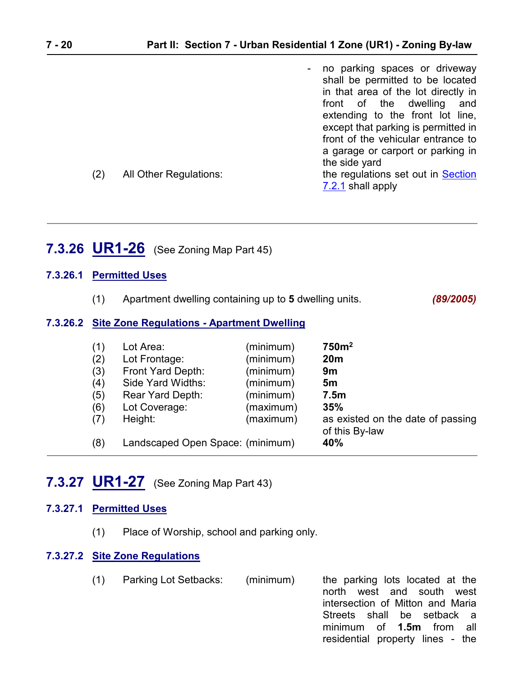|     |                        | - no parking spaces or driveway<br>shall be permitted to be located<br>in that area of the lot directly in |
|-----|------------------------|------------------------------------------------------------------------------------------------------------|
|     |                        | front of the dwelling<br>and                                                                               |
|     |                        | extending to the front lot line,<br>except that parking is permitted in                                    |
|     |                        | front of the vehicular entrance to                                                                         |
|     |                        | a garage or carport or parking in                                                                          |
|     |                        | the side yard                                                                                              |
| (2) | All Other Regulations: | the regulations set out in Section                                                                         |
|     |                        | 7.2.1 shall apply                                                                                          |

# <span id="page-19-0"></span>**7.3.26 UR1-26** (See Zoning Map Part 45)

#### **7.3.26.1 Permitted Uses**

(1) Apartment dwelling containing up to **5** dwelling units. *(89/2005)*

#### **7.3.26.2 Site Zone Regulations - Apartment Dwelling**

| (1) | Lot Area:                        | (minimum) | 750m <sup>2</sup>                                   |
|-----|----------------------------------|-----------|-----------------------------------------------------|
| (2) | Lot Frontage:                    | (minimum) | 20 <sub>m</sub>                                     |
| (3) | Front Yard Depth:                | (minimum) | 9m                                                  |
| (4) | Side Yard Widths:                | (minimum) | 5 <sub>m</sub>                                      |
| (5) | Rear Yard Depth:                 | (minimum) | 7.5 <sub>m</sub>                                    |
| (6) | Lot Coverage:                    | (maximum) | 35%                                                 |
| (7) | Height:                          | (maximum) | as existed on the date of passing<br>of this By-law |
| (8) | Landscaped Open Space: (minimum) |           | 40%                                                 |

## <span id="page-19-1"></span>**7.3.27 UR1-27** (See Zoning Map Part 43)

#### **7.3.27.1 Permitted Uses**

(1) Place of Worship, school and parking only.

#### **7.3.27.2 Site Zone Regulations**

(1) Parking Lot Setbacks: (minimum) the parking lots located at the

north west and south west intersection of Mitton and Maria Streets shall be setback a minimum of **1.5m** from all residential property lines - the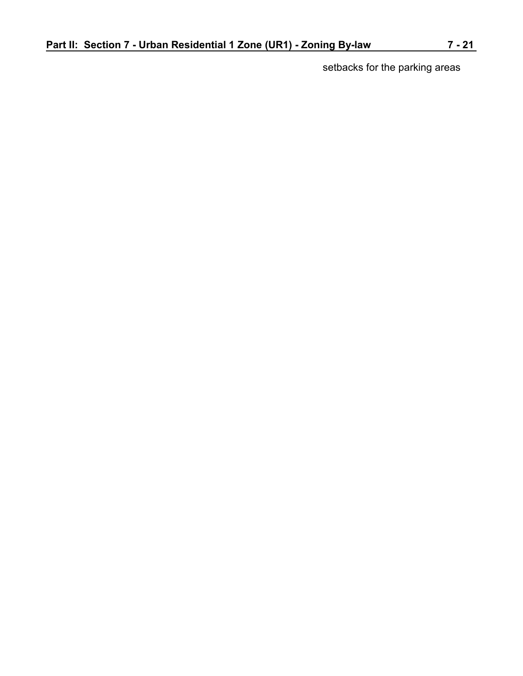setbacks for the parking areas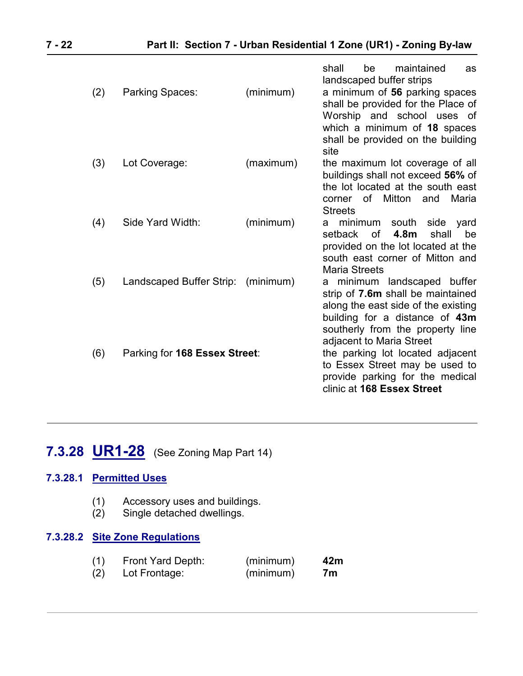|     |                                    |           | shall<br>maintained<br>be<br>as<br>landscaped buffer strips                                                                                                                                               |
|-----|------------------------------------|-----------|-----------------------------------------------------------------------------------------------------------------------------------------------------------------------------------------------------------|
| (2) | Parking Spaces:                    | (minimum) | a minimum of 56 parking spaces<br>shall be provided for the Place of<br>Worship and school uses of<br>which a minimum of 18 spaces<br>shall be provided on the building<br>site                           |
| (3) | Lot Coverage:                      | (maximum) | the maximum lot coverage of all<br>buildings shall not exceed 56% of<br>the lot located at the south east<br>of Mitton<br>Maria<br>and<br>corner<br><b>Streets</b>                                        |
| (4) | Side Yard Width:                   | (minimum) | minimum<br>south<br>side yard<br>а<br>4.8m<br>shall<br>setback<br>0f<br>be<br>provided on the lot located at the<br>south east corner of Mitton and<br><b>Maria Streets</b>                               |
| (5) | Landscaped Buffer Strip: (minimum) |           | a minimum landscaped buffer<br>strip of 7.6m shall be maintained<br>along the east side of the existing<br>building for a distance of 43m<br>southerly from the property line<br>adjacent to Maria Street |
| (6) | Parking for 168 Essex Street:      |           | the parking lot located adjacent<br>to Essex Street may be used to<br>provide parking for the medical<br>clinic at 168 Essex Street                                                                       |

# <span id="page-21-0"></span>**7.3.28 UR1-28** (See Zoning Map Part 14)

#### **7.3.28.1 Permitted Uses**

- (1) Accessory uses and buildings.
- (2) Single detached dwellings.

#### **7.3.28.2 Site Zone Regulations**

| (1) | <b>Front Yard Depth:</b> | (minimum) | 42m |
|-----|--------------------------|-----------|-----|
| (2) | Lot Frontage:            | (minimum) | 7m  |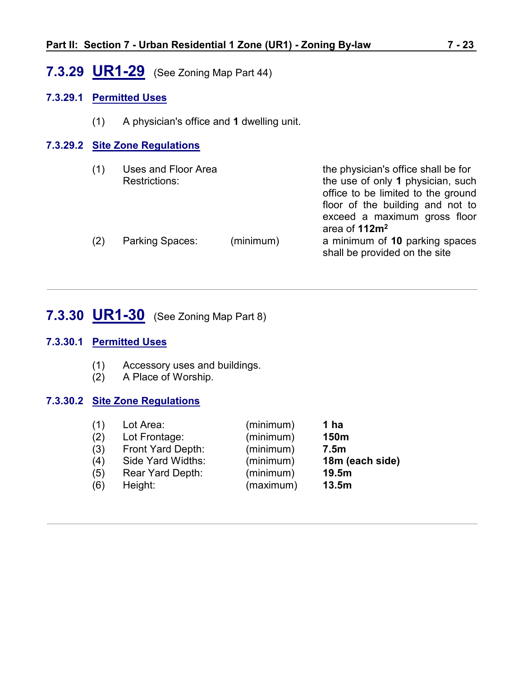# <span id="page-22-0"></span>**7.3.29 UR1-29** (See Zoning Map Part 44)

#### **7.3.29.1 Permitted Uses**

(1) A physician's office and **1** dwelling unit.

#### **7.3.29.2 Site Zone Regulations**

| (1) | Uses and Floor Area<br><b>Restrictions:</b> |           | the physician's office shall be for<br>the use of only 1 physician, such<br>office to be limited to the ground<br>floor of the building and not to |
|-----|---------------------------------------------|-----------|----------------------------------------------------------------------------------------------------------------------------------------------------|
| (2) | <b>Parking Spaces:</b>                      | (minimum) | exceed a maximum gross floor<br>area of 112m <sup>2</sup><br>a minimum of 10 parking spaces<br>shall be provided on the site                       |

# <span id="page-22-1"></span>**7.3.30 UR1-30** (See Zoning Map Part 8)

#### **7.3.30.1 Permitted Uses**

- (1) Accessory uses and buildings.
- (2) A Place of Worship.

#### **7.3.30.2 Site Zone Regulations**

| (1) | Lot Area:               | (minimum) | 1 ha             |
|-----|-------------------------|-----------|------------------|
| (2) | Lot Frontage:           | (minimum) | 150m             |
| (3) | Front Yard Depth:       | (minimum) | 7.5 <sub>m</sub> |
| (4) | Side Yard Widths:       | (minimum) | 18m (each side)  |
| (5) | <b>Rear Yard Depth:</b> | (minimum) | 19.5m            |
| (6) | Height:                 | (maximum) | 13.5m            |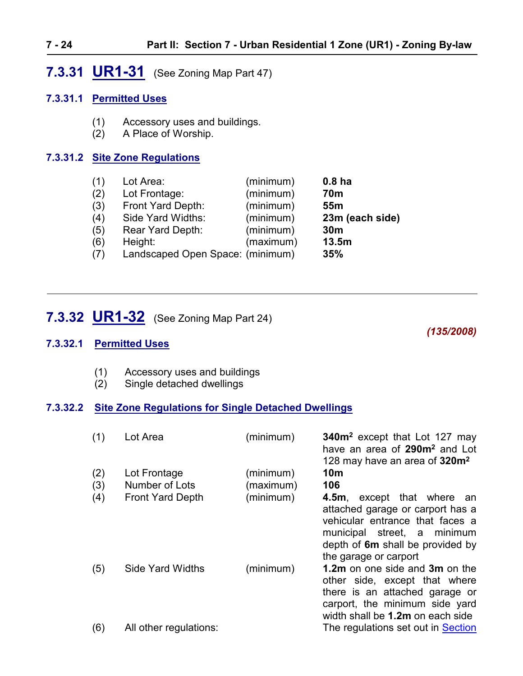# <span id="page-23-0"></span>**7.3.31 UR1-31** (See Zoning Map Part 47)

#### **7.3.31.1 Permitted Uses**

- (1) Accessory uses and buildings.
- (2) A Place of Worship.

#### **7.3.31.2 Site Zone Regulations**

| (1) | Lot Area:                        | (minimum) | 0.8 <sub>ha</sub> |
|-----|----------------------------------|-----------|-------------------|
| (2) | Lot Frontage:                    | (minimum) | <b>70m</b>        |
| (3) | Front Yard Depth:                | (minimum) | 55 <sub>m</sub>   |
| (4) | Side Yard Widths:                | (minimum) | 23m (each side)   |
| (5) | Rear Yard Depth:                 | (minimum) | 30 <sub>m</sub>   |
| (6) | Height:                          | (maximum) | 13.5m             |
| (7) | Landscaped Open Space: (minimum) |           | 35%               |
|     |                                  |           |                   |

# **7.3.32 UR1-32** (See Zoning Map Part 24)

## *(135/2008)*

#### **7.3.32.1 Permitted Uses**

- (1) Accessory uses and buildings
- (2) Single detached dwellings

#### **7.3.32.2 Site Zone Regulations for Single Detached Dwellings**

| (1) | Lot Area                | (minimum) | 340m <sup>2</sup> except that Lot 127 may<br>have an area of 290m <sup>2</sup> and Lot<br>128 may have an area of 320m <sup>2</sup>                                                              |
|-----|-------------------------|-----------|--------------------------------------------------------------------------------------------------------------------------------------------------------------------------------------------------|
| (2) | Lot Frontage            | (minimum) | 10 <sub>m</sub>                                                                                                                                                                                  |
| (3) | Number of Lots          | (maximum) | 106                                                                                                                                                                                              |
| (4) | <b>Front Yard Depth</b> | (minimum) | 4.5m, except that where<br>an<br>attached garage or carport has a<br>vehicular entrance that faces a<br>municipal street, a minimum<br>depth of 6m shall be provided by<br>the garage or carport |
| (5) | <b>Side Yard Widths</b> | (minimum) | 1.2m on one side and 3m on the<br>other side, except that where<br>there is an attached garage or<br>carport, the minimum side yard<br>width shall be 1.2m on each side                          |
| (6) | All other regulations:  |           | The regulations set out in Section                                                                                                                                                               |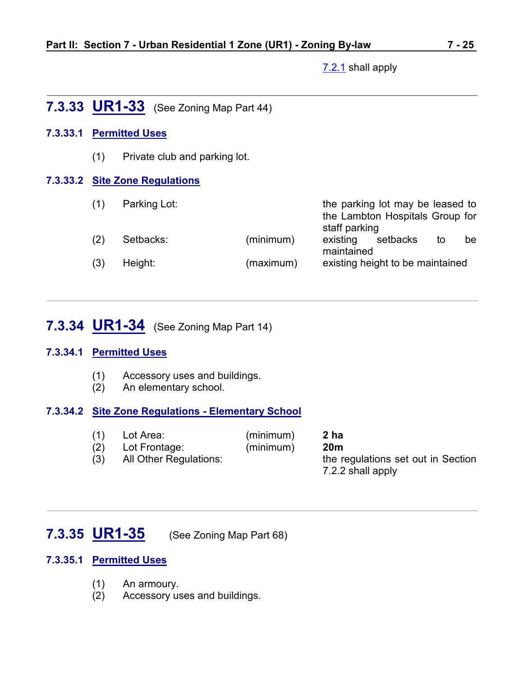[7.2.1](ZB_Sec_07_Urban_Residential_1_Zone(UR1).doc) shall apply

## <span id="page-24-0"></span>**7.3.33 UR1-33** (See Zoning Map Part 44)

#### **7.3.33.1 Permitted Uses**

(1) Private club and parking lot.

#### **7.3.33.2 Site Zone Regulations**

| (1) | Parking Lot: |           | staff parking          | the parking lot may be leased to<br>the Lambton Hospitals Group for |    |    |
|-----|--------------|-----------|------------------------|---------------------------------------------------------------------|----|----|
| (2) | Setbacks:    | (minimum) | existing<br>maintained | setbacks                                                            | to | be |
| (3) | Height:      | (maximum) |                        | existing height to be maintained                                    |    |    |

# <span id="page-24-1"></span>**7.3.34 UR1-34** (See Zoning Map Part 14)

#### **7.3.34.1 Permitted Uses**

- (1) Accessory uses and buildings.
- (2) An elementary school.

#### **7.3.34.2 Site Zone Regulations - Elementary School**

- (1) Lot Area: (minimum) **2 ha** (2) Lot Frontage: (minimum) **20m**
- 

(3) All Other Regulations: the regulations set out in Section 7.2.2 shall apply

# <span id="page-24-2"></span>**7.3.35 UR1-35** (See Zoning Map Part 68)

#### **7.3.35.1 Permitted Uses**

- (1) An armoury.
- (2) Accessory uses and buildings.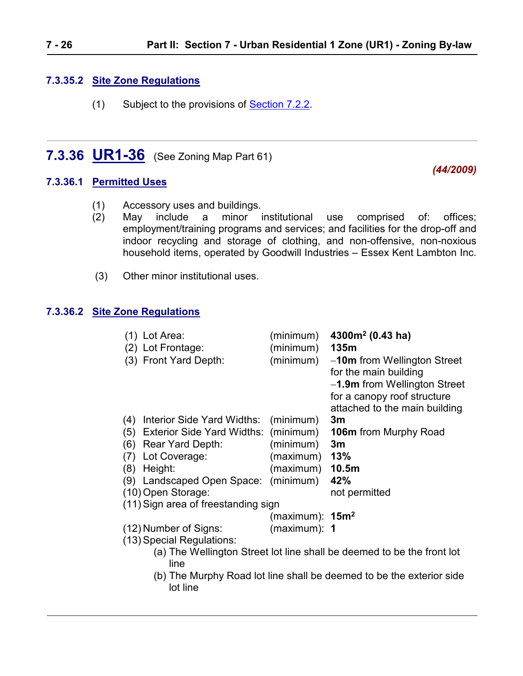#### **7.3.35.2 Site Zone Regulations**

<span id="page-25-0"></span>(1) Subject to the provisions of [Section 7.2.2.](#page-1-0)

# **7.3.36 UR1-36** (See Zoning Map Part 61)

#### **7.3.36.1 Permitted Uses**

- (1) Accessory uses and buildings.
- (2) May include a minor institutional use comprised of: offices; employment/training programs and services; and facilities for the drop-off and indoor recycling and storage of clothing, and non-offensive, non-noxious household items, operated by Goodwill Industries – Essex Kent Lambton Inc.
- (3) Other minor institutional uses.

lot line

#### **7.3.36.2 Site Zone Regulations**

|     | (1) Lot Area:<br>(2) Lot Frontage:<br>(3) Front Yard Depth: | (minimum)<br>(minimum)<br>(minimum) | 4300 $m2$ (0.43 ha)<br>135m<br>-10m from Wellington Street<br>for the main building<br>-1.9m from Wellington Street<br>for a canopy roof structure<br>attached to the main building |
|-----|-------------------------------------------------------------|-------------------------------------|-------------------------------------------------------------------------------------------------------------------------------------------------------------------------------------|
| (4) | Interior Side Yard Widths:                                  | (minimum)                           | 3m                                                                                                                                                                                  |
| (5) | Exterior Side Yard Widths: (minimum)                        |                                     | <b>106m</b> from Murphy Road                                                                                                                                                        |
| (6) | <b>Rear Yard Depth:</b>                                     | (minimum)                           | 3m                                                                                                                                                                                  |
| (7) | Lot Coverage:                                               | (maximum)                           | 13%                                                                                                                                                                                 |
| (8) | Height:                                                     | (maximum)                           | 10.5m                                                                                                                                                                               |
|     | (9) Landscaped Open Space:                                  | (minimum)                           | 42%                                                                                                                                                                                 |
|     | (10) Open Storage:                                          |                                     | not permitted                                                                                                                                                                       |
|     | (11) Sign area of freestanding sign                         |                                     |                                                                                                                                                                                     |
|     |                                                             | (maximum): $15m^2$                  |                                                                                                                                                                                     |
|     | (12) Number of Signs:                                       | $(maximum):$ 1                      |                                                                                                                                                                                     |
|     | (13) Special Regulations:                                   |                                     |                                                                                                                                                                                     |
|     | line                                                        |                                     | (a) The Wellington Street lot line shall be deemed to be the front lot                                                                                                              |
|     |                                                             |                                     | (b) The Murphy Road lot line shall be deemed to be the exterior side                                                                                                                |

*(44/2009)*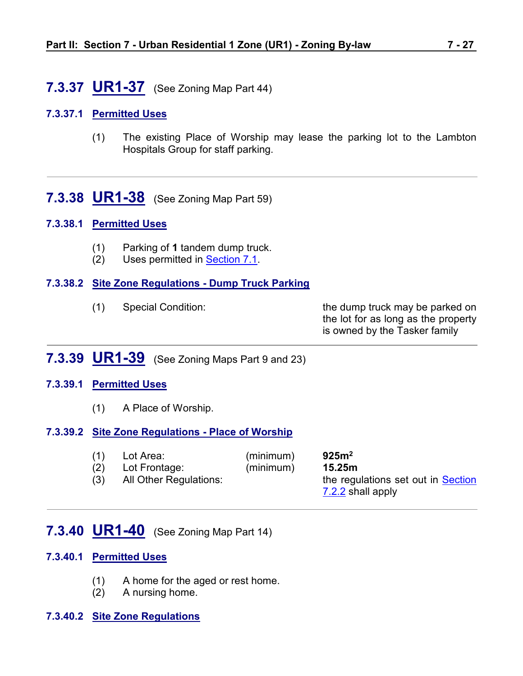## <span id="page-26-0"></span>**7.3.37 UR1-37** (See Zoning Map Part 44)

#### **7.3.37.1 Permitted Uses**

(1) The existing Place of Worship may lease the parking lot to the Lambton Hospitals Group for staff parking.

<span id="page-26-1"></span>**7.3.38 UR1-38** (See Zoning Map Part 59)

#### **7.3.38.1 Permitted Uses**

- (1) Parking of **1** tandem dump truck.
- (2) Uses permitted in [Section 7.1](#page-0-0).

#### **7.3.38.2 Site Zone Regulations - Dump Truck Parking**

| (1) | <b>Special Condition:</b> | the dump truck may be parked on     |
|-----|---------------------------|-------------------------------------|
|     |                           | the lot for as long as the property |
|     |                           | is owned by the Tasker family       |

## <span id="page-26-2"></span>**7.3.39 UR1-39** (See Zoning Maps Part 9 and 23)

#### **7.3.39.1 Permitted Uses**

(1) A Place of Worship.

#### **7.3.39.2 Site Zone Regulations - Place of Worship**

| (1)        | Lot Area:                               | (minimum) | 925m <sup>2</sup>                                                 |
|------------|-----------------------------------------|-----------|-------------------------------------------------------------------|
| (2)<br>(3) | Lot Frontage:<br>All Other Regulations: | (minimum) | 15.25m<br>the regulations set out in Section<br>7.2.2 shall apply |

## <span id="page-26-3"></span>**7.3.40 UR1-40** (See Zoning Map Part 14)

#### **7.3.40.1 Permitted Uses**

- (1) A home for the aged or rest home.
- (2) A nursing home.

#### **7.3.40.2 Site Zone Regulations**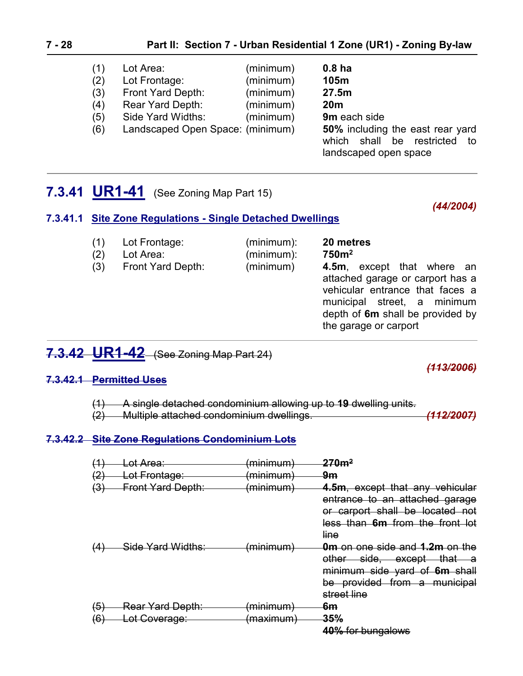#### **7 - 28 Part II: Section 7 - Urban Residential 1 Zone (UR1) - Zoning By-law**

| (1) | Lot Area:                        | (minimum) | 0.8 <sub>ha</sub>                                                                                   |
|-----|----------------------------------|-----------|-----------------------------------------------------------------------------------------------------|
| (2) | Lot Frontage:                    | (minimum) | 105m                                                                                                |
| (3) | Front Yard Depth:                | (minimum) | 27.5m                                                                                               |
| (4) | Rear Yard Depth:                 | (minimum) | 20 <sub>m</sub>                                                                                     |
| (5) | Side Yard Widths:                | (minimum) | 9m each side                                                                                        |
| (6) | Landscaped Open Space: (minimum) |           | <b>50%</b> including the east rear yard<br>which shall be restricted<br>to<br>landscaped open space |

<span id="page-27-0"></span>

|  | 7.3.41 UR1-41 (See Zoning Map Part 15) |
|--|----------------------------------------|
|--|----------------------------------------|

#### *(44/2004)*

#### **7.3.41.1 Site Zone Regulations - Single Detached Dwellings**

| (1)<br>(2)<br>(3) | Lot Frontage:<br>Lot Area:<br>Front Yard Depth: | (minimum):<br>(minimum):<br>(minimum) | 20 metres<br>750 <sup>m²</sup><br><b>4.5m, except that where an</b><br>attached garage or carport has a<br>vehicular entrance that faces a<br>municipal street, a minimum<br>depth of 6m shall be provided by |
|-------------------|-------------------------------------------------|---------------------------------------|---------------------------------------------------------------------------------------------------------------------------------------------------------------------------------------------------------------|
|                   |                                                 |                                       | the garage or carport                                                                                                                                                                                         |

# <span id="page-27-1"></span>**7.3.42 UR1-42** (See Zoning Map Part 24)

#### **7.3.42.1 Permitted Uses**

(1) A single detached condominium allowing up to **19** dwelling units.

(2) Multiple attached condominium dwellings. *(112/2007)*

#### **7.3.42.2 Site Zone Regulations Condominium Lots**

| <u>(2'</u><br>(3) | <del>Lot Area:</del><br>Lot Frontage:<br><b>Front Yard Depth:</b> | <del>minimum</del><br>minimum)<br>(minimum) | $270$ m $^2$<br><del>9m</del><br>4.5m, except that any vehicular<br>entrance to an attached garage<br>or carport shall be located not<br>less than 6m from the front lot |
|-------------------|-------------------------------------------------------------------|---------------------------------------------|--------------------------------------------------------------------------------------------------------------------------------------------------------------------------|
|                   | Side Yard Widths:                                                 | minimum)                                    | line<br><b>0m</b> on one side and 1.2m on the<br>other side, except that a<br>minimum side yard of 6m shall<br>be provided from a municipal<br>street line               |
| (5)<br>(6)        | <b>Rear Yard Depth:</b><br>Lot Coverage:                          | (minimum)<br>(maximum)                      | 6m<br>35%<br>40% for bungalows                                                                                                                                           |

*(113/2006)*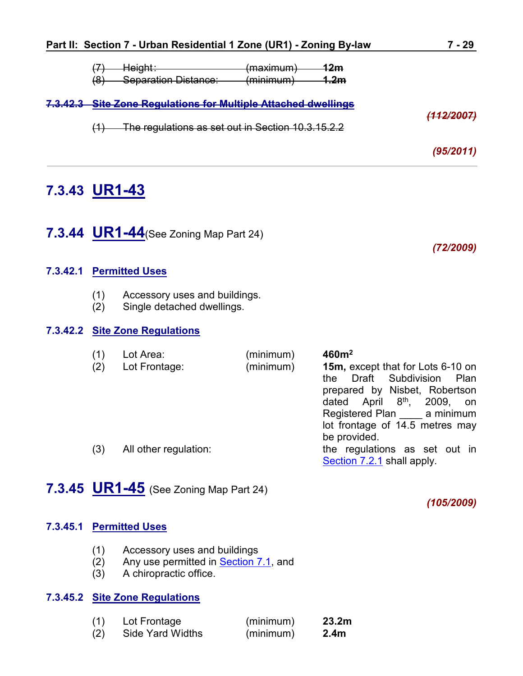|     | Part II: Section 7 - Urban Residential 1 Zone (UR1) - Zoning By-law                                                 |                        |                             | 7 - 29     |
|-----|---------------------------------------------------------------------------------------------------------------------|------------------------|-----------------------------|------------|
| (8) | <del>Height∶</del><br><b>Separation Distance:</b>                                                                   | (maximum)<br>(minimum) | <u> 12m</u><br><u> 1.2m</u> |            |
| (1) | 7.3.42.3 Site Zone Regulations for Multiple Attached dwellings<br>The regulations as set out in Section 10.3.15.2.2 |                        |                             | (112/2007) |
|     |                                                                                                                     |                        |                             | (95/2011)  |

# <span id="page-28-0"></span>**7.3.43 UR1-43**

<span id="page-28-1"></span>**7.3.44 UR1-44**(See Zoning Map Part 24)

*(72/2009)*

#### **7.3.42.1 Permitted Uses**

- (1) Accessory uses and buildings.
- (2) Single detached dwellings.

#### **7.3.42.2 Site Zone Regulations**

| (1)<br>(2) | Lot Area:<br>Lot Frontage: | (minimum)<br>(minimum) | 460m <sup>2</sup><br>15m, except that for Lots 6-10 on<br>Draft Subdivision<br>Plan<br>the<br>prepared by Nisbet, Robertson<br>dated April $8th$ , 2009,<br>on<br>Registered Plan a minimum |
|------------|----------------------------|------------------------|---------------------------------------------------------------------------------------------------------------------------------------------------------------------------------------------|
| (3)        | All other regulation:      |                        | lot frontage of 14.5 metres may<br>be provided.<br>the regulations as set out in<br>Section 7.2.1 shall apply.                                                                              |

# <span id="page-28-2"></span>**7.3.45 UR1-45** (See Zoning Map Part 24)

*(105/2009)*

#### **7.3.45.1 Permitted Uses**

- (1) Accessory uses and buildings
- (2) Any use permitted in [Section 7.1,](#page-0-0) and
- (3) A chiropractic office.

### **7.3.45.2 Site Zone Regulations**

| (1) | Lot Frontage            | (minimum) | 23.2 <sub>m</sub> |
|-----|-------------------------|-----------|-------------------|
| (2) | <b>Side Yard Widths</b> | (minimum) | 2.4 <sub>m</sub>  |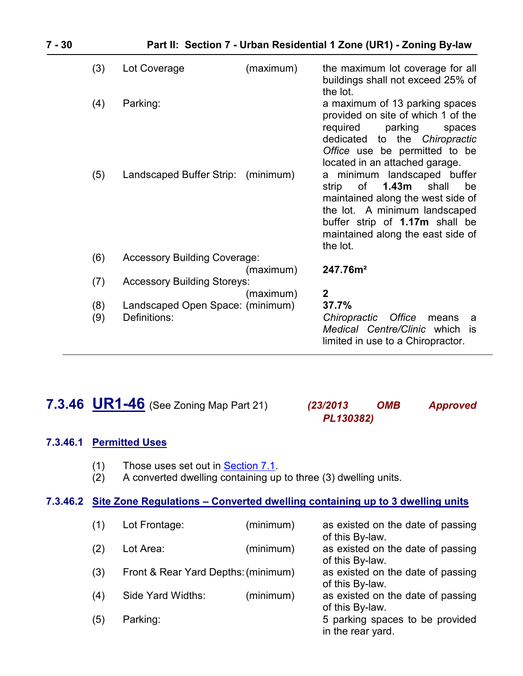| (3) | Lot Coverage                        | (maximum) | the maximum lot coverage for all<br>buildings shall not exceed 25% of<br>the lot.                                                                                                                                                       |
|-----|-------------------------------------|-----------|-----------------------------------------------------------------------------------------------------------------------------------------------------------------------------------------------------------------------------------------|
| (4) | Parking:                            |           | a maximum of 13 parking spaces<br>provided on site of which 1 of the<br>required<br>parking<br>spaces<br>dedicated<br>to the Chiropractic<br>Office use be permitted to be<br>located in an attached garage.                            |
| (5) | Landscaped Buffer Strip:            | (minimum) | a minimum landscaped buffer<br>1.43 <sub>m</sub><br>of<br>be<br>strip<br>shall<br>maintained along the west side of<br>the lot. A minimum landscaped<br>buffer strip of 1.17m shall be<br>maintained along the east side of<br>the lot. |
| (6) | <b>Accessory Building Coverage:</b> |           |                                                                                                                                                                                                                                         |
|     |                                     | (maximum) | 247.76m <sup>2</sup>                                                                                                                                                                                                                    |
| (7) | <b>Accessory Building Storeys:</b>  |           |                                                                                                                                                                                                                                         |
|     |                                     | (maximum) | $\mathbf{2}$                                                                                                                                                                                                                            |
| (8) | Landscaped Open Space: (minimum)    |           | 37.7%                                                                                                                                                                                                                                   |
| (9) | Definitions:                        |           | Chiropractic<br>Office<br>means<br>a<br>Medical Centre/Clinic which<br>is<br>limited in use to a Chiropractor.                                                                                                                          |

# <span id="page-29-0"></span>**7.3.46 UR1-46** (See Zoning Map Part 21) *(23/2013 OMB Approved*

# *PL130382)*

#### **7.3.46.1 Permitted Uses**

- (1) Those uses set out in [Section 7.1](#page-0-0).
- $(2)$  A converted dwelling containing up to three (3) dwelling units.

#### **7.3.46.2 Site Zone Regulations – Converted dwelling containing up to 3 dwelling units**

| (1) | Lot Frontage:                       | (minimum) | as existed on the date of passing<br>of this By-law. |
|-----|-------------------------------------|-----------|------------------------------------------------------|
| (2) | Lot Area:                           | (minimum) | as existed on the date of passing<br>of this By-law. |
| (3) | Front & Rear Yard Depths: (minimum) |           | as existed on the date of passing<br>of this By-law. |
| (4) | Side Yard Widths:                   | (minimum) | as existed on the date of passing<br>of this By-law. |
| (5) | Parking:                            |           | 5 parking spaces to be provided<br>in the rear yard. |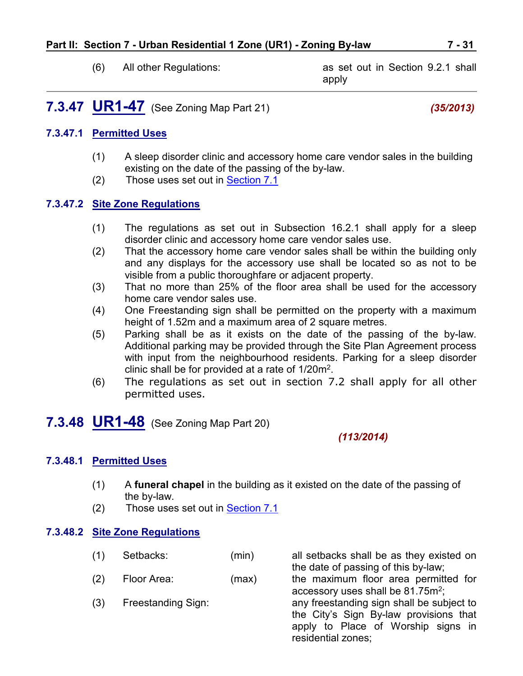<span id="page-30-0"></span>

(6) All other Regulations: as set out in Section 9.2.1 shall apply

# **7.3.47 UR1-47** (See Zoning Map Part 21) *(35/2013)*

#### **7.3.47.1 Permitted Uses**

- (1) A sleep disorder clinic and accessory home care vendor sales in the building existing on the date of the passing of the by-law.
- (2) Those uses set out in [Section 7.1](#page-0-0)

#### **7.3.47.2 Site Zone Regulations**

- (1) The regulations as set out in Subsection 16.2.1 shall apply for a sleep disorder clinic and accessory home care vendor sales use.
- (2) That the accessory home care vendor sales shall be within the building only and any displays for the accessory use shall be located so as not to be visible from a public thoroughfare or adjacent property.
- (3) That no more than 25% of the floor area shall be used for the accessory home care vendor sales use.
- (4) One Freestanding sign shall be permitted on the property with a maximum height of 1.52m and a maximum area of 2 square metres.
- (5) Parking shall be as it exists on the date of the passing of the by-law. Additional parking may be provided through the Site Plan Agreement process with input from the neighbourhood residents. Parking for a sleep disorder clinic shall be for provided at a rate of 1/20m<sup>2</sup>.
- <span id="page-30-1"></span>(6) The regulations as set out in section 7.2 shall apply for all other permitted uses.

# **7.3.48 UR1-48** (See Zoning Map Part 20)

#### *(113/2014)*

#### **7.3.48.1 Permitted Uses**

- (1) A **funeral chapel** in the building as it existed on the date of the passing of the by-law.
- (2) Those uses set out in [Section 7.1](#page-0-0)

#### **7.3.48.2 Site Zone Regulations**

- (1) Setbacks: (min) all setbacks shall be as they existed on
	-
	-

the date of passing of this by-law; (2) Floor Area: (max) the maximum floor area permitted for accessory uses shall be  $81.75m^2$ ; (3) Freestanding Sign: any freestanding sign shall be subject to the City's Sign By-law provisions that apply to Place of Worship signs in residential zones;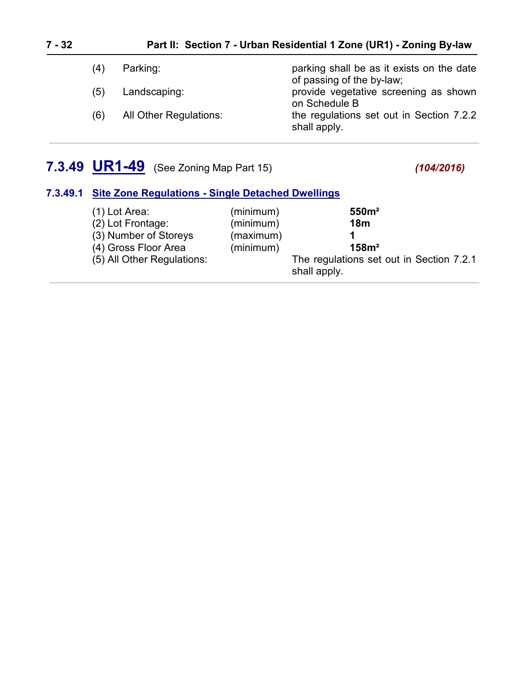## **7 - 32 Part II: Section 7 - Urban Residential 1 Zone (UR1) - Zoning By-law**

| (4) | Parking:               | parking shall be as it exists on the date<br>of passing of the by-law; |
|-----|------------------------|------------------------------------------------------------------------|
| (5) | Landscaping:           | provide vegetative screening as shown<br>on Schedule B                 |
| (6) | All Other Regulations: | the regulations set out in Section 7.2.2<br>shall apply.               |

# **7.3.49 UR1-49** (See Zoning Map Part 15) *(104/2016)*

#### **7.3.49.1 Site Zone Regulations - Single Detached Dwellings**

| (minimum)<br>$(1)$ Lot Area:<br>(minimum)<br>(2) Lot Frontage:<br>(3) Number of Storeys<br>(maximum)<br>(4) Gross Floor Area<br>(minimum)<br>(5) All Other Regulations: | 550m <sup>2</sup><br>18 <sub>m</sub><br>158m <sup>2</sup><br>The regulations set out in Section 7.2.1<br>shall apply. |
|-------------------------------------------------------------------------------------------------------------------------------------------------------------------------|-----------------------------------------------------------------------------------------------------------------------|
|-------------------------------------------------------------------------------------------------------------------------------------------------------------------------|-----------------------------------------------------------------------------------------------------------------------|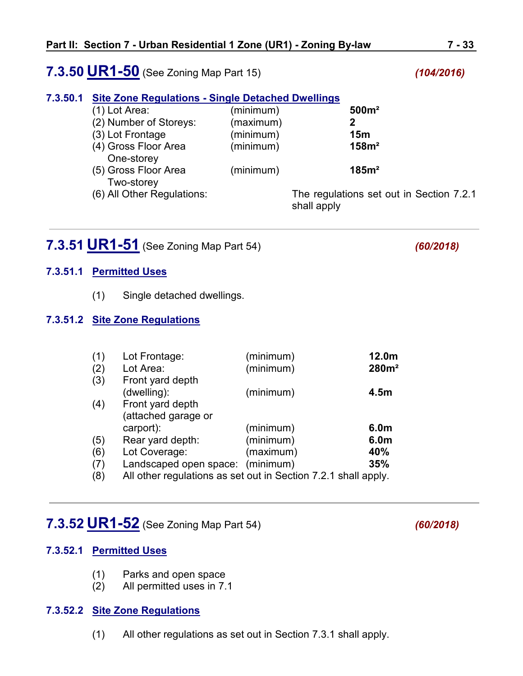## **7.3.50 UR1-50** (See Zoning Map Part 15) *(104/2016)*

#### **7.3.50.1 Site Zone Regulations - Single Detached Dwellings**

| $(1)$ Lot Area:            | (minimum) | 500m <sup>2</sup>                        |
|----------------------------|-----------|------------------------------------------|
| (2) Number of Storeys:     | (maximum) |                                          |
| (3) Lot Frontage           | (minimum) | 15m                                      |
| (4) Gross Floor Area       | (minimum) | 158m <sup>2</sup>                        |
| One-storey                 |           |                                          |
| (5) Gross Floor Area       | (minimum) | 185m <sup>2</sup>                        |
| Two-storey                 |           |                                          |
| (6) All Other Regulations: |           | The regulations set out in Section 7.2.1 |
|                            |           | shall apply                              |

# <span id="page-32-0"></span>**7.3.51 UR1-51** (See Zoning Map Part 54) *(60/2018)*

## **7.3.51.1 Permitted Uses**

(1) Single detached dwellings.

#### **7.3.51.2 Site Zone Regulations**

| (1) | Lot Frontage:                                                  | (minimum) | 12.0m             |
|-----|----------------------------------------------------------------|-----------|-------------------|
| (2) | Lot Area:                                                      | (minimum) | 280m <sup>2</sup> |
| (3) | Front yard depth                                               |           |                   |
|     | (dwelling):                                                    | (minimum) | 4.5 <sub>m</sub>  |
| (4) | Front yard depth                                               |           |                   |
|     | (attached garage or                                            |           |                   |
|     | carport):                                                      | (minimum) | 6.0 <sub>m</sub>  |
| (5) | Rear yard depth:                                               | (minimum) | 6.0m              |
| (6) | Lot Coverage:                                                  | (maximum) | 40%               |
| (7) | Landscaped open space: (minimum)                               |           | 35%               |
| (8) | All other regulations as set out in Section 7.2.1 shall apply. |           |                   |

## <span id="page-32-1"></span>**7.3.52 UR1-52** (See Zoning Map Part 54) *(60/2018)*

#### **7.3.52.1 Permitted Uses**

- (1) Parks and open space
- (2) All permitted uses in 7.1

#### **7.3.52.2 Site Zone Regulations**

(1) All other regulations as set out in Section 7.3.1 shall apply.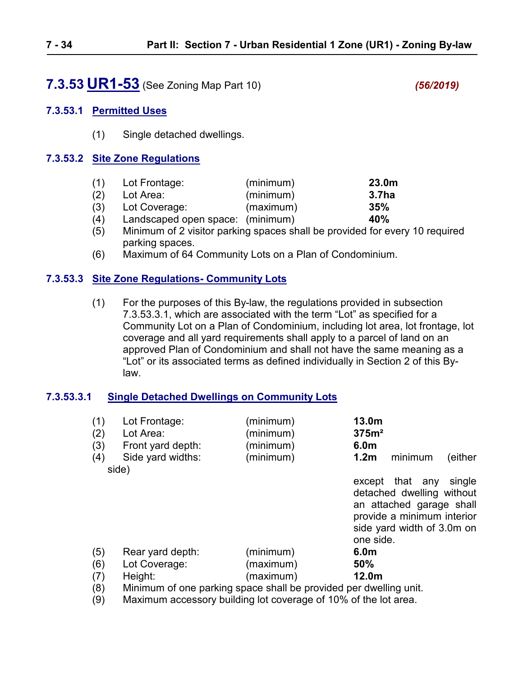# <span id="page-33-0"></span>**7.3.53 UR1-53** (See Zoning Map Part 10) *(56/2019)*

#### **7.3.53.1 Permitted Uses**

(1) Single detached dwellings.

#### **7.3.53.2 Site Zone Regulations**

| (1) | Lot Frontage:                    | (minimum) | 23.0 <sub>m</sub> |
|-----|----------------------------------|-----------|-------------------|
| (2) | Lot Area:                        | (minimum) | 3.7ha             |
| (3) | Lot Coverage:                    | (maximum) | 35%               |
| (4) | Landscaped open space: (minimum) |           | 40%               |

- (5) Minimum of 2 visitor parking spaces shall be provided for every 10 required parking spaces.
- (6) Maximum of 64 Community Lots on a Plan of Condominium.

#### **7.3.53.3 Site Zone Regulations- Community Lots**

(1) For the purposes of this By-law, the regulations provided in subsection 7.3.53.3.1, which are associated with the term "Lot" as specified for a Community Lot on a Plan of Condominium, including lot area, lot frontage, lot coverage and all yard requirements shall apply to a parcel of land on an approved Plan of Condominium and shall not have the same meaning as a "Lot" or its associated terms as defined individually in Section 2 of this Bylaw.

#### **7.3.53.3.1 Single Detached Dwellings on Community Lots**

| (1)<br>(2)<br>(3)<br>(4) | Lot Frontage:<br>Lot Area:<br>Front yard depth:<br>Side yard widths:<br>side) | (minimum)<br>(minimum)<br>(minimum)<br>(minimum) | 13.0m<br>375m <sup>2</sup><br>6.0m<br>1.2 <sub>m</sub><br>(either<br>minimum                                                                                   |  |
|--------------------------|-------------------------------------------------------------------------------|--------------------------------------------------|----------------------------------------------------------------------------------------------------------------------------------------------------------------|--|
|                          |                                                                               |                                                  | that any<br>single<br>except<br>detached dwelling without<br>an attached garage shall<br>provide a minimum interior<br>side yard width of 3.0m on<br>one side. |  |
| (5)                      | Rear yard depth:<br>Lot Coverage:                                             | (minimum)<br>(maximum)                           | 6.0 <sub>m</sub><br>50%                                                                                                                                        |  |
| (6)<br>(7)               | Height:                                                                       | (maximum)                                        | 12.0 <sub>m</sub>                                                                                                                                              |  |
| (8)                      | Minimum of one parking space shall be provided per dwelling unit.             |                                                  |                                                                                                                                                                |  |

(9) Maximum accessory building lot coverage of 10% of the lot area.